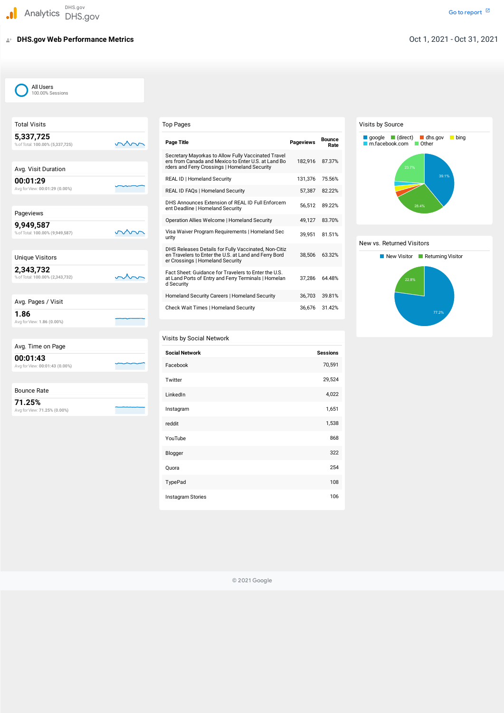# **DHS.gov Web Performance Metrics**

| <b>Top Pages</b>                                                                                                                                            |                  |                       |
|-------------------------------------------------------------------------------------------------------------------------------------------------------------|------------------|-----------------------|
| <b>Page Title</b>                                                                                                                                           | <b>Pageviews</b> | <b>Bounce</b><br>Rate |
| Secretary Mayorkas to Allow Fully Vaccinated Travel<br>ers from Canada and Mexico to Enter U.S. at Land Bo<br>rders and Ferry Crossings   Homeland Security | 182.916          | 87.37%                |
| REAL ID   Homeland Security                                                                                                                                 | 131,376          | 75.56%                |
| REAL ID FAQs   Homeland Security                                                                                                                            | 57,387           | 82.22%                |
| DHS Announces Extension of REAL ID Full Enforcem<br>ent Deadline   Homeland Security                                                                        | 56,512           | 89.22%                |
| Operation Allies Welcome   Homeland Security                                                                                                                | 49.127           | 83.70%                |
| Visa Waiver Program Requirements   Homeland Sec<br>urity                                                                                                    | 39.951           | 81.51%                |
| DHS Releases Details for Fully Vaccinated, Non-Citiz<br>en Travelers to Enter the U.S. at Land and Ferry Bord<br>er Crossings   Homeland Security           | 38,506           | 63.32%                |
| Fact Sheet: Guidance for Travelers to Enter the U.S.<br>at Land Ports of Entry and Ferry Terminals   Homelan<br>d Security                                  | 37,286           | 64.48%                |
| Homeland Security Careers   Homeland Security                                                                                                               | 36,703           | 39.81%                |
| Check Wait Times   Homeland Security                                                                                                                        | 36,676           | 31.42%                |

| <b>Total Visits</b>                          |  |
|----------------------------------------------|--|
| 5,337,725<br>% of Total: 100.00% (5,337,725) |  |
|                                              |  |
| Avg. Visit Duration                          |  |
| 00:01:29<br>Avg for View: 00:01:29 (0.00%)   |  |
|                                              |  |
| Pageviews                                    |  |
| 9,949,587<br>% of Total: 100.00% (9,949,587) |  |
|                                              |  |
| <b>Unique Visitors</b>                       |  |
| 2,343,732<br>% of Total: 100.00% (2,343,732) |  |
|                                              |  |
| Avg. Pages / Visit                           |  |
| 1.86<br>Avg for View: 1.86 (0.00%)           |  |
|                                              |  |
| Time on Dogs<br>$\mathbf{A}$                 |  |

| Avg. Time on Page                          |  |
|--------------------------------------------|--|
| 00:01:43<br>Avg for View: 00:01:43 (0.00%) |  |
|                                            |  |

### Bounce Rate

**71.25%** Avg forView: **71.25% (0.00%)**

## Visits by Social Network

| <b>Social Network</b> | <b>Sessions</b> |
|-----------------------|-----------------|
| Facebook              | 70,591          |
| Twitter               | 29,524          |
| LinkedIn              | 4,022           |
| Instagram             | 1,651           |
| reddit                | 1,538           |
| YouTube               | 868             |
| Blogger               | 322             |
| Quora                 | 254             |
| TypePad               | 108             |

© 2021 Google

## All Users 100.00% Sessions

#### Visits by Source

#### New vs. Returned Visitors





Instagram Stories 106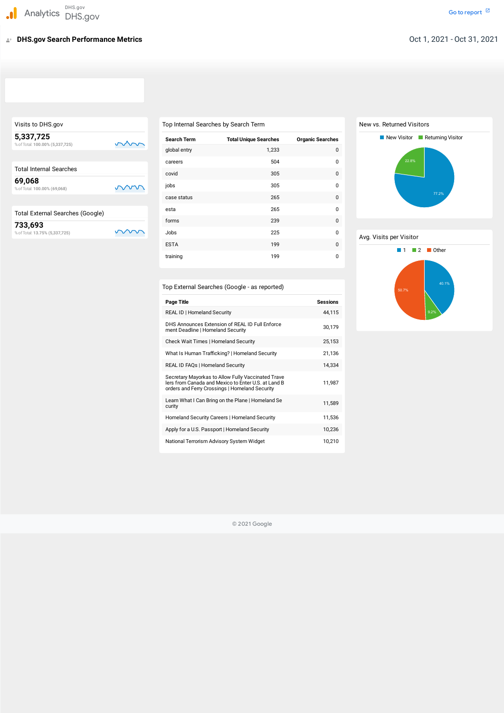|    | Top Internal Searche |
|----|----------------------|
| mm | <b>Search Term</b>   |

Visits to DHS.gov

**5,337,725**

%ofTotal: **100.00% (5,337,725)**

| <b>Total Internal Searches</b>            |  |
|-------------------------------------------|--|
| 69,068<br>% of Total: 100.00% (69,068)    |  |
| <b>Total External Searches (Google)</b>   |  |
| 733,693<br>% of Total: 13.75% (5,337,725) |  |

# Top Internal Searches by Search Term

| <b>Search Term</b> | <b>Total Unique Searches</b> | <b>Organic Searches</b> |
|--------------------|------------------------------|-------------------------|
| global entry       | 1,233                        | 0                       |
| careers            | 504                          | 0                       |
| covid              | 305                          | $\mathbf 0$             |
| jobs               | 305                          | $\mathbf 0$             |
| case status        | 265                          | $\mathbf 0$             |
| esta               | 265                          | 0                       |
| forms              | 239                          | $\mathbf 0$             |
| Jobs               | 225                          | 0                       |
| <b>ESTA</b>        | 199                          | 0                       |
| training           | 199                          | $\mathbf 0$             |
|                    |                              |                         |

| Top External Searches (Google - as reported)                                                                                                                |                 |
|-------------------------------------------------------------------------------------------------------------------------------------------------------------|-----------------|
| <b>Page Title</b>                                                                                                                                           | <b>Sessions</b> |
| <b>REAL ID   Homeland Security</b>                                                                                                                          | 44,115          |
| DHS Announces Extension of REAL ID Full Enforce<br>ment Deadline   Homeland Security                                                                        | 30,179          |
| <b>Check Wait Times   Homeland Security</b>                                                                                                                 | 25,153          |
| What Is Human Trafficking?   Homeland Security                                                                                                              | 21,136          |
| REAL ID FAQs   Homeland Security                                                                                                                            | 14,334          |
| Secretary Mayorkas to Allow Fully Vaccinated Trave<br>lers from Canada and Mexico to Enter U.S. at Land B<br>orders and Ferry Crossings   Homeland Security | 11,987          |
| Learn What I Can Bring on the Plane   Homeland Se<br>curity                                                                                                 | 11,589          |
| Homeland Security Careers   Homeland Security                                                                                                               | 11,536          |
| Apply for a U.S. Passport   Homeland Security                                                                                                               | 10,236          |
| National Terrorism Advisory System Widget                                                                                                                   | 10,210          |

© 2021 Google

# New vs. Returned Visitors

#### Avg. Visits per Visitor



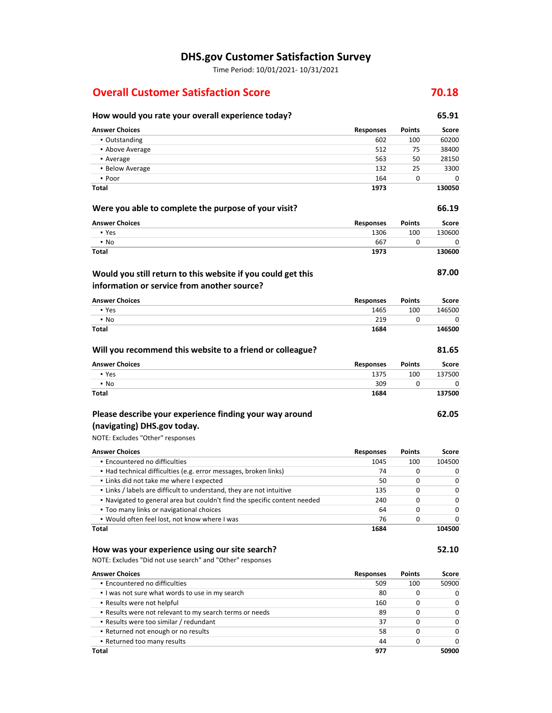#### **DHS.gov Customer Satisfaction Survey**

Time Period: 10/01/2021‐ 10/31/2021

### **Overall Customer Satisfaction Score 70.18**

## **How would you rate your overall experience today? 65.91**

| <b>Answer Choices</b>                                            | <b>Responses</b> | <b>Points</b> | Score  |
|------------------------------------------------------------------|------------------|---------------|--------|
| • Outstanding                                                    | 602              | 100           | 60200  |
| • Above Average                                                  | 512              | 75            | 38400  |
| • Average                                                        | 563              | 50            | 28150  |
| · Below Average                                                  | 132              | 25            | 3300   |
| • Poor                                                           | 164              | $\Omega$      | 0      |
| Total                                                            | 1973             |               | 130050 |
| Were you able to complete the purpose of your visit?             |                  |               | 66.19  |
| <b>Answer Choices</b>                                            | <b>Responses</b> | Points        | Score  |
| • Yes                                                            | 1306             | 100           | 130600 |
| $\cdot$ No                                                       | 667              | 0             | 0      |
| Total                                                            | 1973             |               | 130600 |
| Would you still return to this website if you could get this     |                  |               | 87.00  |
| information or service from another source?                      |                  |               |        |
| <b>Answer Choices</b>                                            | <b>Responses</b> | Points        | Score  |
| • Yes                                                            | 1465             | 100           | 146500 |
| $\cdot$ No                                                       | 219              | 0             | 0      |
| <b>Total</b>                                                     | 1684             |               | 146500 |
| Will you recommend this website to a friend or colleague?        |                  |               | 81.65  |
| <b>Answer Choices</b>                                            | <b>Responses</b> | Points        | Score  |
| • Yes                                                            | 1375             | 100           | 137500 |
| $\cdot$ No                                                       | 309              | 0             | 0      |
| Total                                                            | 1684             |               | 137500 |
| Please describe your experience finding your way around          |                  |               | 62.05  |
| (navigating) DHS.gov today.                                      |                  |               |        |
| NOTE: Excludes "Other" responses                                 |                  |               |        |
| <b>Answer Choices</b>                                            | <b>Responses</b> | Points        | Score  |
| • Encountered no difficulties                                    | 1045             | 100           | 104500 |
| • Had technical difficulties (e.g. error messages, broken links) | 74               | 0             | 0      |

| Total                                                                     | 1684 |     | 104500   |
|---------------------------------------------------------------------------|------|-----|----------|
| . Would often feel lost, not know where I was                             | 76   | 0   | $\Omega$ |
| • Too many links or navigational choices                                  | 64   | O   | $\Omega$ |
| • Navigated to general area but couldn't find the specific content needed | 240  | 0   | $\Omega$ |
| . Links / labels are difficult to understand, they are not intuitive      | 135  | 0   | $\Omega$ |
| • Links did not take me where I expected                                  | 50   | O   | $\Omega$ |
| • Had technical difficulties (e.g. error messages, broken links)          | 74   | 0   | 0        |
| • Encountered no difficulties                                             | 1045 | 100 | 104500   |

#### **How was your experience using our site search?**

NOTE: Excludes "Did not use search" and "Other" responses

| <b>Answer Choices</b>                                   | <b>Responses</b> | <b>Points</b> | Score        |
|---------------------------------------------------------|------------------|---------------|--------------|
| • Encountered no difficulties                           | 509              | 100           | 50900        |
| I was not sure what words to use in my search           | 80               | 0             | 0            |
| • Results were not helpful                              | 160              | 0             | $\Omega$     |
| . Results were not relevant to my search terms or needs | 89               | 0             | $\Omega$     |
| Results were too similar / redundant                    | 37               | o             | $\Omega$     |
| Returned not enough or no results                       | 58               | 0             | $\Omega$     |
| • Returned too many results                             | 44               | 0             | <sup>0</sup> |
| Total                                                   | 977              |               | 50900        |

**52.10**